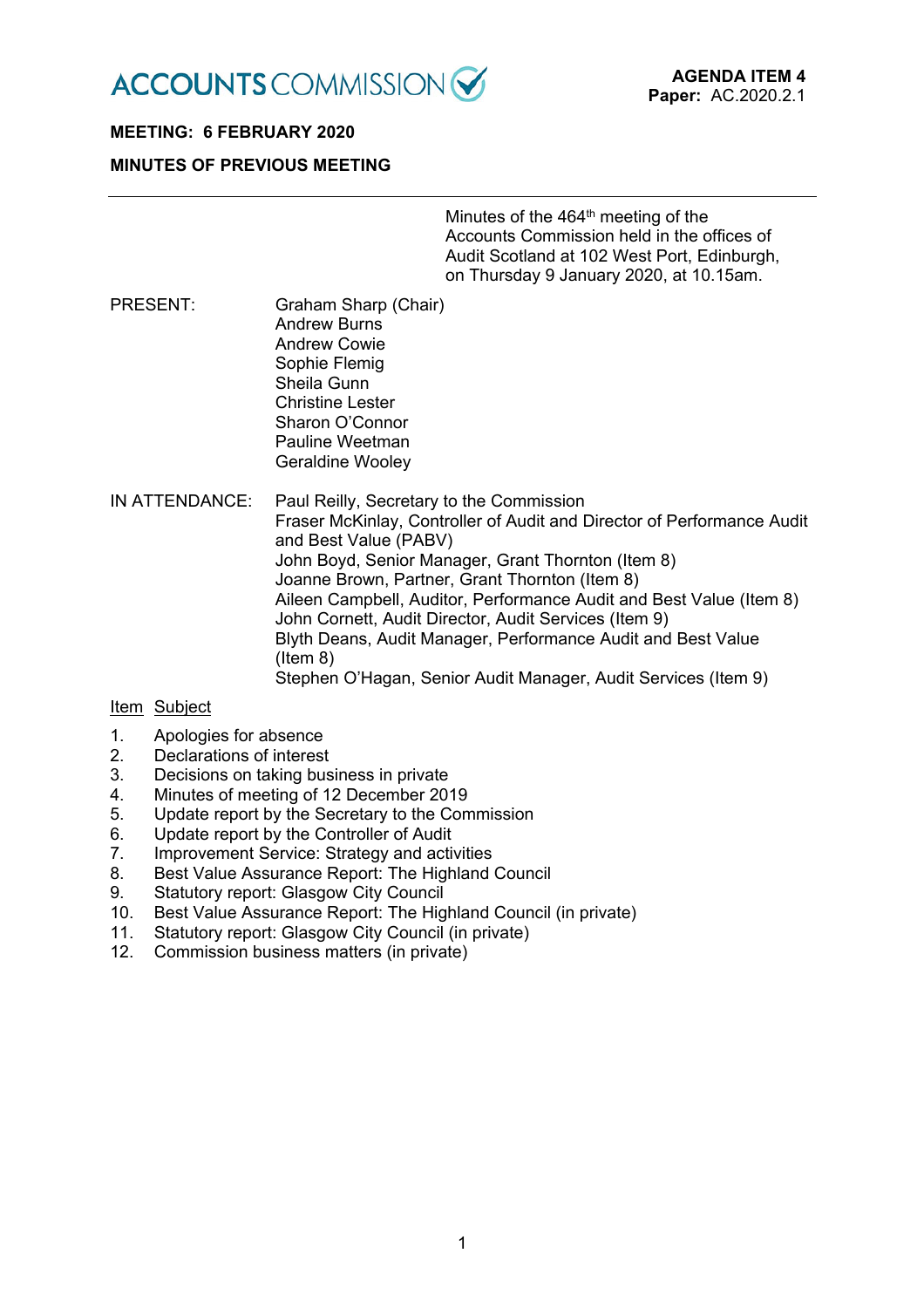

# **MEETING: 6 FEBRUARY 2020**

# **MINUTES OF PREVIOUS MEETING**

## Minutes of the 464<sup>th</sup> meeting of the Accounts Commission held in the offices of Audit Scotland at 102 West Port, Edinburgh, on Thursday 9 January 2020, at 10.15am.

- PRESENT: Graham Sharp (Chair) Andrew Burns Andrew Cowie Sophie Flemig Sheila Gunn Christine Lester Sharon O'Connor Pauline Weetman Geraldine Wooley
- IN ATTENDANCE: Paul Reilly, Secretary to the Commission Fraser McKinlay, Controller of Audit and Director of Performance Audit and Best Value (PABV) John Boyd, Senior Manager, Grant Thornton (Item 8) Joanne Brown, Partner, Grant Thornton (Item 8) Aileen Campbell, Auditor, Performance Audit and Best Value (Item 8) John Cornett, Audit Director, Audit Services (Item 9) Blyth Deans, Audit Manager, Performance Audit and Best Value (Item 8) Stephen O'Hagan, Senior Audit Manager, Audit Services (Item 9)

# Item Subject

- 1. Apologies for absence
- 2. Declarations of interest
- 3. Decisions on taking business in private
- 4. Minutes of meeting of 12 December 2019
- 5. Update report by the Secretary to the Commission
- 6. Update report by the Controller of Audit
- 7. Improvement Service: Strategy and activities
- 8. Best Value Assurance Report: The Highland Council
- 9. Statutory report: Glasgow City Council
- 10. Best Value Assurance Report: The Highland Council (in private)
- 11. Statutory report: Glasgow City Council (in private)
- 12. Commission business matters (in private)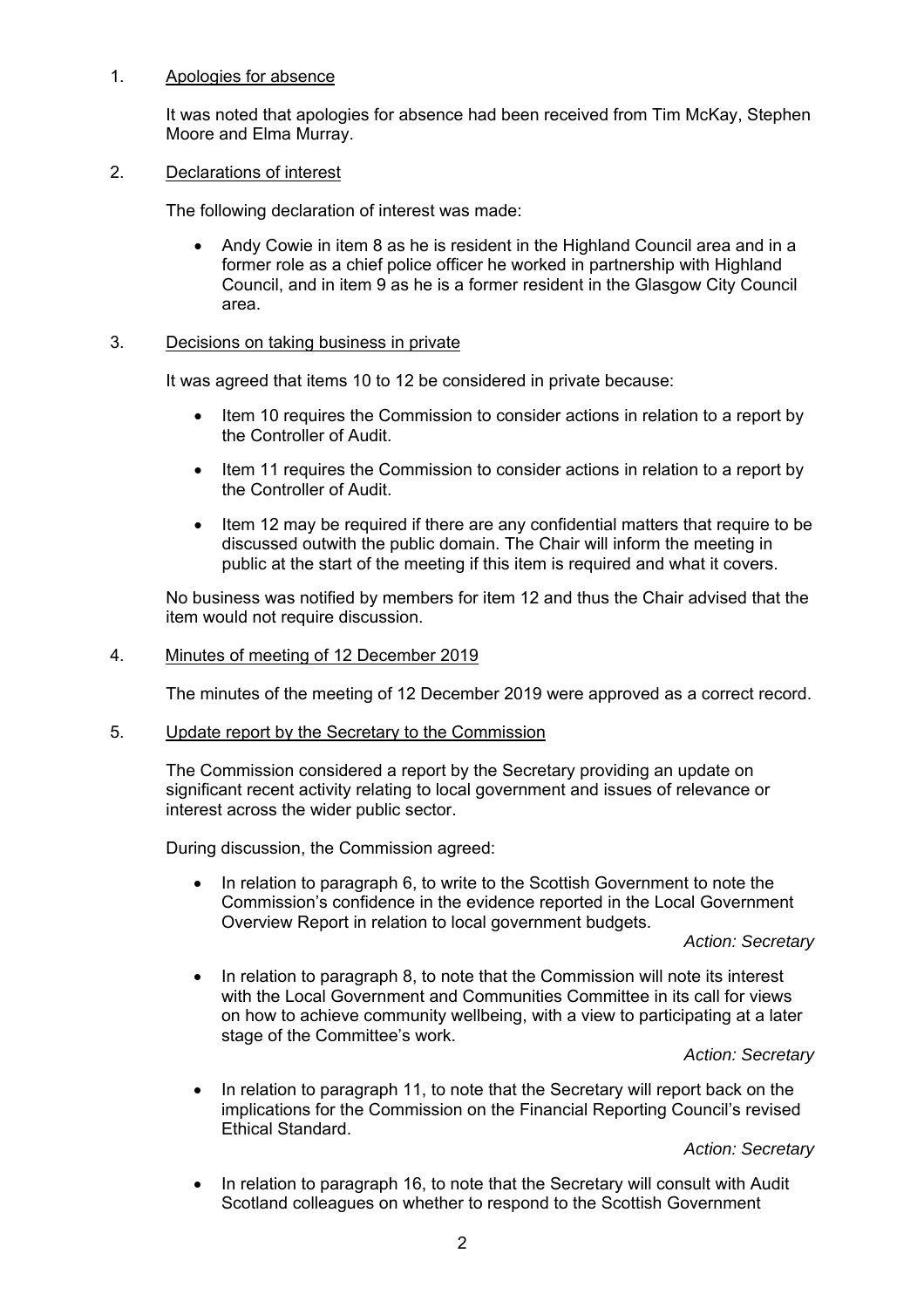## 1. Apologies for absence

It was noted that apologies for absence had been received from Tim McKay, Stephen Moore and Elma Murray.

## 2. Declarations of interest

The following declaration of interest was made:

• Andy Cowie in item 8 as he is resident in the Highland Council area and in a former role as a chief police officer he worked in partnership with Highland Council, and in item 9 as he is a former resident in the Glasgow City Council area.

## 3. Decisions on taking business in private

It was agreed that items 10 to 12 be considered in private because:

- Item 10 requires the Commission to consider actions in relation to a report by the Controller of Audit.
- Item 11 requires the Commission to consider actions in relation to a report by the Controller of Audit.
- Item 12 may be required if there are any confidential matters that require to be discussed outwith the public domain. The Chair will inform the meeting in public at the start of the meeting if this item is required and what it covers.

No business was notified by members for item 12 and thus the Chair advised that the item would not require discussion.

## 4. Minutes of meeting of 12 December 2019

The minutes of the meeting of 12 December 2019 were approved as a correct record.

## 5. Update report by the Secretary to the Commission

The Commission considered a report by the Secretary providing an update on significant recent activity relating to local government and issues of relevance or interest across the wider public sector.

During discussion, the Commission agreed:

• In relation to paragraph 6, to write to the Scottish Government to note the Commission's confidence in the evidence reported in the Local Government Overview Report in relation to local government budgets.

## *Action: Secretary*

• In relation to paragraph 8, to note that the Commission will note its interest with the Local Government and Communities Committee in its call for views on how to achieve community wellbeing, with a view to participating at a later stage of the Committee's work.

## *Action: Secretary*

• In relation to paragraph 11, to note that the Secretary will report back on the implications for the Commission on the Financial Reporting Council's revised Ethical Standard.

## *Action: Secretary*

 In relation to paragraph 16, to note that the Secretary will consult with Audit Scotland colleagues on whether to respond to the Scottish Government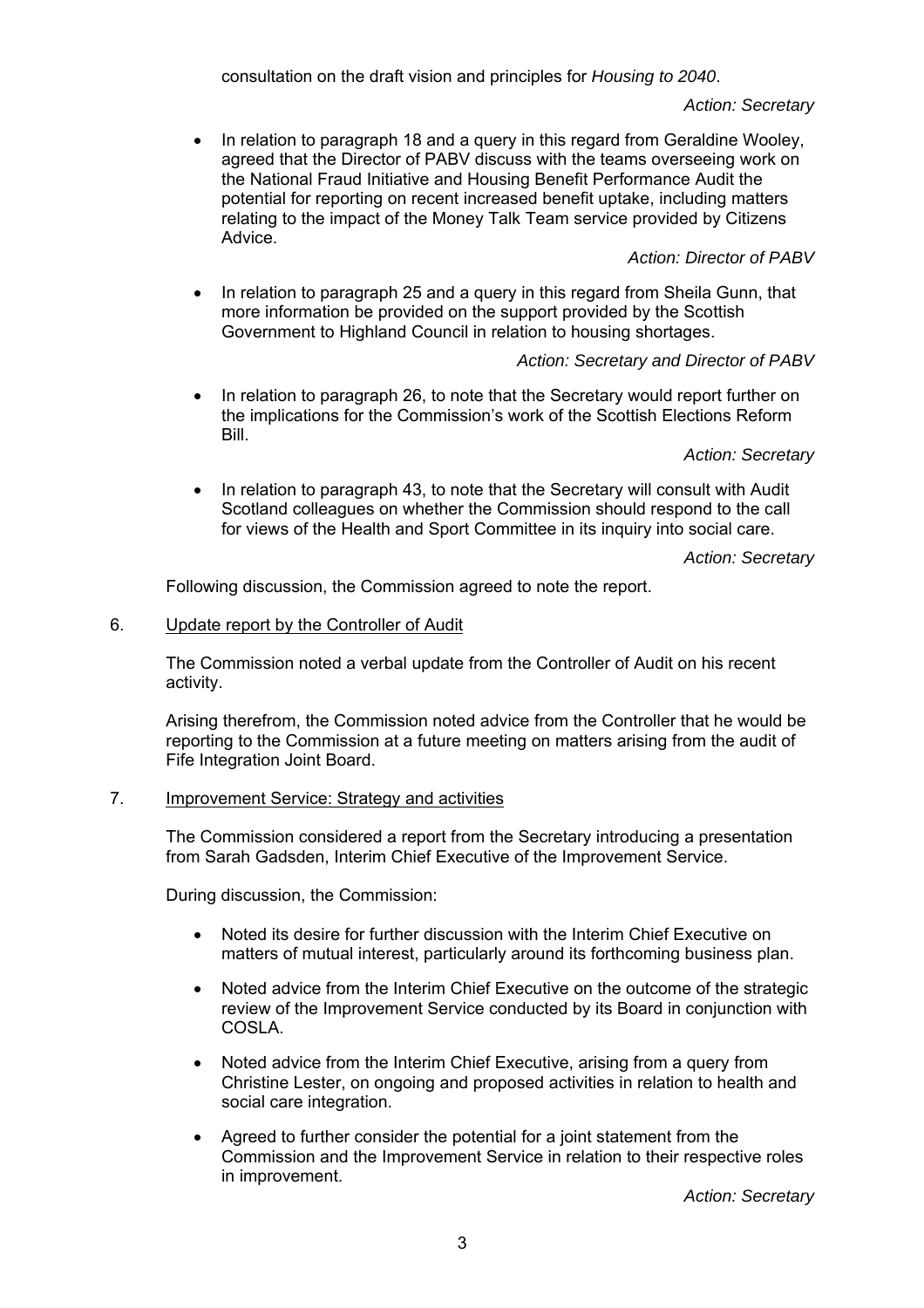consultation on the draft vision and principles for *Housing to 2040*.

## *Action: Secretary*

 In relation to paragraph 18 and a query in this regard from Geraldine Wooley, agreed that the Director of PABV discuss with the teams overseeing work on the National Fraud Initiative and Housing Benefit Performance Audit the potential for reporting on recent increased benefit uptake, including matters relating to the impact of the Money Talk Team service provided by Citizens Advice.

## *Action: Director of PABV*

 In relation to paragraph 25 and a query in this regard from Sheila Gunn, that more information be provided on the support provided by the Scottish Government to Highland Council in relation to housing shortages.

## *Action: Secretary and Director of PABV*

 In relation to paragraph 26, to note that the Secretary would report further on the implications for the Commission's work of the Scottish Elections Reform Bill.

## *Action: Secretary*

 In relation to paragraph 43, to note that the Secretary will consult with Audit Scotland colleagues on whether the Commission should respond to the call for views of the Health and Sport Committee in its inquiry into social care.

## *Action: Secretary*

Following discussion, the Commission agreed to note the report.

## 6. Update report by the Controller of Audit

The Commission noted a verbal update from the Controller of Audit on his recent activity.

Arising therefrom, the Commission noted advice from the Controller that he would be reporting to the Commission at a future meeting on matters arising from the audit of Fife Integration Joint Board.

## 7. Improvement Service: Strategy and activities

The Commission considered a report from the Secretary introducing a presentation from Sarah Gadsden, Interim Chief Executive of the Improvement Service.

During discussion, the Commission:

- Noted its desire for further discussion with the Interim Chief Executive on matters of mutual interest, particularly around its forthcoming business plan.
- Noted advice from the Interim Chief Executive on the outcome of the strategic review of the Improvement Service conducted by its Board in conjunction with COSLA.
- Noted advice from the Interim Chief Executive, arising from a query from Christine Lester, on ongoing and proposed activities in relation to health and social care integration.
- Agreed to further consider the potential for a joint statement from the Commission and the Improvement Service in relation to their respective roles in improvement.

*Action: Secretary*